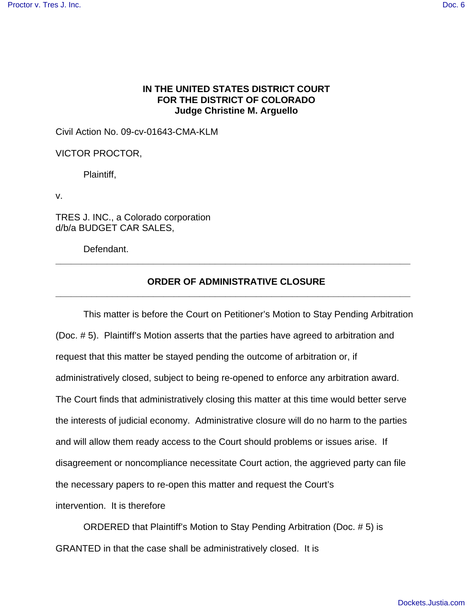## **IN THE UNITED STATES DISTRICT COURT FOR THE DISTRICT OF COLORADO Judge Christine M. Arguello**

Civil Action No. 09-cv-01643-CMA-KLM

VICTOR PROCTOR,

Plaintiff,

v.

TRES J. INC., a Colorado corporation d/b/a BUDGET CAR SALES,

Defendant.

## **ORDER OF ADMINISTRATIVE CLOSURE \_\_\_\_\_\_\_\_\_\_\_\_\_\_\_\_\_\_\_\_\_\_\_\_\_\_\_\_\_\_\_\_\_\_\_\_\_\_\_\_\_\_\_\_\_\_\_\_\_\_\_\_\_\_\_\_\_\_\_\_\_\_\_\_\_\_\_\_\_**

**\_\_\_\_\_\_\_\_\_\_\_\_\_\_\_\_\_\_\_\_\_\_\_\_\_\_\_\_\_\_\_\_\_\_\_\_\_\_\_\_\_\_\_\_\_\_\_\_\_\_\_\_\_\_\_\_\_\_\_\_\_\_\_\_\_\_\_\_\_**

This matter is before the Court on Petitioner's Motion to Stay Pending Arbitration (Doc. # 5). Plaintiff's Motion asserts that the parties have agreed to arbitration and request that this matter be stayed pending the outcome of arbitration or, if administratively closed, subject to being re-opened to enforce any arbitration award. The Court finds that administratively closing this matter at this time would better serve the interests of judicial economy. Administrative closure will do no harm to the parties and will allow them ready access to the Court should problems or issues arise. If disagreement or noncompliance necessitate Court action, the aggrieved party can file the necessary papers to re-open this matter and request the Court's intervention. It is therefore

ORDERED that Plaintiff's Motion to Stay Pending Arbitration (Doc. # 5) is GRANTED in that the case shall be administratively closed. It is